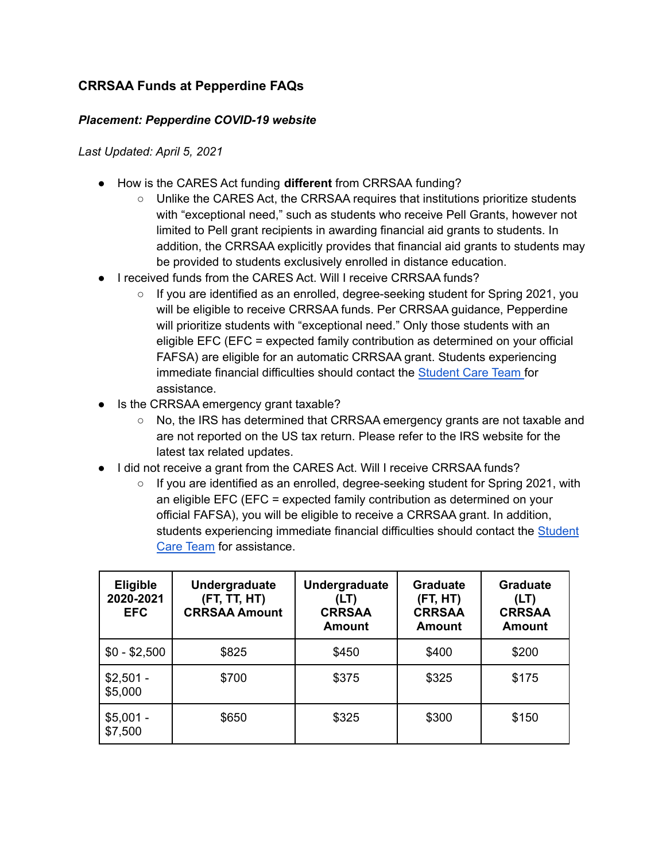## **CRRSAA Funds at Pepperdine FAQs**

## *Placement: Pepperdine COVID-19 website*

## *Last Updated: April 5, 2021*

- How is the CARES Act funding **different** from CRRSAA funding?
	- Unlike the CARES Act, the CRRSAA requires that institutions prioritize students with "exceptional need," such as students who receive Pell Grants, however not limited to Pell grant recipients in awarding financial aid grants to students. In addition, the CRRSAA explicitly provides that financial aid grants to students may be provided to students exclusively enrolled in distance education.
- I received funds from the CARES Act. Will I receive CRRSAA funds?
	- $\circ$  If you are identified as an enrolled, degree-seeking student for Spring 2021, you will be eligible to receive CRRSAA funds. Per CRRSAA guidance, Pepperdine will prioritize students with "exceptional need." Only those students with an eligible EFC (EFC = expected family contribution as determined on your official FAFSA) are eligible for an automatic CRRSAA grant. Students experiencing immediate financial difficulties should contact the [Student](https://community.pepperdine.edu/student-care-team/) Care Team for assistance.
- Is the CRRSAA emergency grant taxable?
	- No, the IRS has determined that CRRSAA emergency grants are not taxable and are not reported on the US tax return. Please refer to the IRS website for the latest tax related updates.
- I did not receive a grant from the CARES Act. Will I receive CRRSAA funds?
	- If you are identified as an enrolled, degree-seeking student for Spring 2021, with an eligible EFC (EFC = expected family contribution as determined on your official FAFSA), you will be eligible to receive a CRRSAA grant. In addition, students experiencing immediate financial difficulties should contact the [Student](https://community.pepperdine.edu/student-care-team/) Care [Team](https://community.pepperdine.edu/student-care-team/) for assistance.

| <b>Eligible</b><br>2020-2021<br><b>EFC</b> | Undergraduate<br>(FT, TT, HT)<br><b>CRRSAA Amount</b> | <b>Undergraduate</b><br>(LT)<br><b>CRRSAA</b><br><b>Amount</b> | <b>Graduate</b><br>(FT, HT)<br><b>CRRSAA</b><br>Amount | <b>Graduate</b><br>(LT)<br><b>CRRSAA</b><br><b>Amount</b> |
|--------------------------------------------|-------------------------------------------------------|----------------------------------------------------------------|--------------------------------------------------------|-----------------------------------------------------------|
| $$0 - $2,500$                              | \$825                                                 | \$450                                                          | \$400                                                  | \$200                                                     |
| $$2,501 -$<br>\$5,000                      | \$700                                                 | \$375                                                          | \$325                                                  | \$175                                                     |
| $$5,001 -$<br>\$7,500                      | \$650                                                 | \$325                                                          | \$300                                                  | \$150                                                     |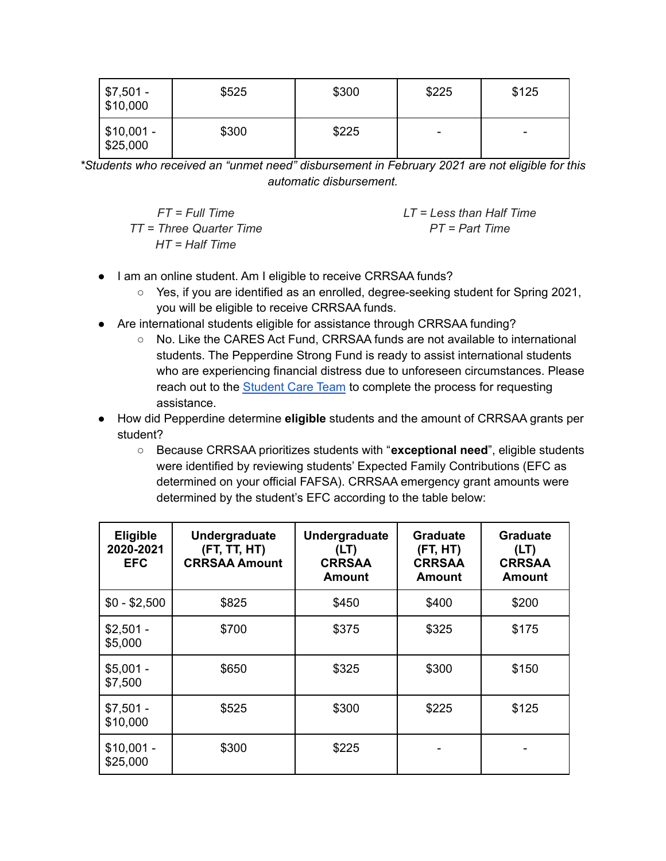| \$7,501 -<br>$\frac{1}{2}$ \$10,000 | \$525 | \$300 | \$225 | \$125 |
|-------------------------------------|-------|-------|-------|-------|
| $1$ \$10,001 -<br>\$25,000          | \$300 | \$225 | ۰     | ٠     |

*\*Students who received an "unmet need" disbursement in February 2021 are not eligible for this automatic disbursement.*

*FT = Full Time TT = Three Quarter Time HT = Half Time*

*LT = Less than Half Time PT = Part Time*

- I am an online student. Am I eligible to receive CRRSAA funds?
	- Yes, if you are identified as an enrolled, degree-seeking student for Spring 2021, you will be eligible to receive CRRSAA funds.
- Are international students eligible for assistance through CRRSAA funding?
	- No. Like the CARES Act Fund, CRRSAA funds are not available to international students. The Pepperdine Strong Fund is ready to assist international students who are experiencing financial distress due to unforeseen circumstances. Please reach out to the [Student](https://community.pepperdine.edu/student-care-team/) Care Team to complete the process for requesting assistance.
- How did Pepperdine determine **eligible** students and the amount of CRRSAA grants per student?
	- Because CRRSAA prioritizes students with "**exceptional need**", eligible students were identified by reviewing students' Expected Family Contributions (EFC as determined on your official FAFSA). CRRSAA emergency grant amounts were determined by the student's EFC according to the table below:

| <b>Eligible</b><br>2020-2021<br><b>EFC</b> | Undergraduate<br>(FT, TT, HT)<br><b>CRRSAA Amount</b> | Undergraduate<br>(LT)<br><b>CRRSAA</b><br><b>Amount</b> | Graduate<br>(FT, HT)<br><b>CRRSAA</b><br>Amount | <b>Graduate</b><br>(LT)<br><b>CRRSAA</b><br>Amount |
|--------------------------------------------|-------------------------------------------------------|---------------------------------------------------------|-------------------------------------------------|----------------------------------------------------|
| $$0 - $2,500$                              | \$825                                                 | \$450                                                   | \$400                                           | \$200                                              |
| $$2,501 -$<br>\$5,000                      | \$700                                                 | \$375                                                   | \$325                                           | \$175                                              |
| $$5,001 -$<br>\$7,500                      | \$650                                                 | \$325                                                   | \$300                                           | \$150                                              |
| $$7,501 -$<br>\$10,000                     | \$525                                                 | \$300                                                   | \$225                                           | \$125                                              |
| $$10,001 -$<br>\$25,000                    | \$300                                                 | \$225                                                   |                                                 |                                                    |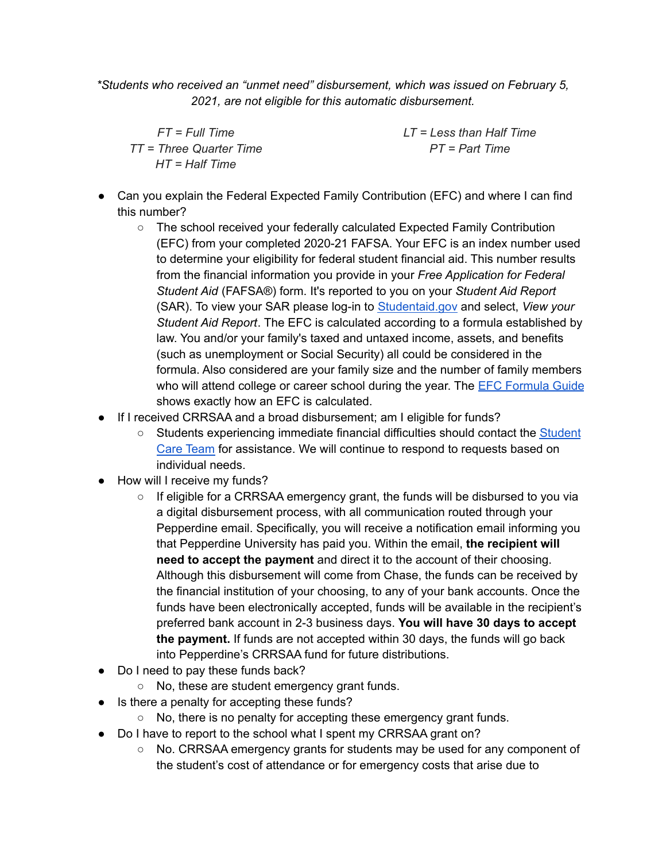*\*Students who received an "unmet need" disbursement, which was issued on February 5, 2021, are not eligible for this automatic disbursement.*

*FT = Full Time TT = Three Quarter Time HT = Half Time*

*LT = Less than Half Time PT = Part Time*

- Can you explain the Federal Expected Family Contribution (EFC) and where I can find this number?
	- The school received your federally calculated Expected Family Contribution (EFC) from your completed 2020-21 FAFSA. Your EFC is an index number used to determine your eligibility for federal student financial aid. This number results from the financial information you provide in your *Free Application for Federal Student Aid* (FAFSA®) form. It's reported to you on your *Student Aid Report* (SAR). To view your SAR please log-in to [Studentaid.gov](https://studentaid.gov/h/apply-for-aid/fafsa) and select, *View your Student Aid Report*. The EFC is calculated according to a formula established by law. You and/or your family's taxed and untaxed income, assets, and benefits (such as unemployment or Social Security) all could be considered in the formula. Also considered are your family size and the number of family members who will attend college or career school during the year. The **EFC [Formula](https://ifap.ed.gov/sites/default/files/attachments/2020-08/2122EFCFormulaGuide.pdf) Guide** shows exactly how an EFC is calculated.
- If I received CRRSAA and a broad disbursement; am I eligible for funds?
	- Students experiencing immediate financial difficulties should contact the [Student](http://community.pepperdine.edu/student-care-team/) Care [Team](http://community.pepperdine.edu/student-care-team/) for assistance. We will continue to respond to requests based on individual needs.
- How will I receive my funds?
	- If eligible for a CRRSAA emergency grant, the funds will be disbursed to you via a digital disbursement process, with all communication routed through your Pepperdine email. Specifically, you will receive a notification email informing you that Pepperdine University has paid you. Within the email, **the recipient will need to accept the payment** and direct it to the account of their choosing. Although this disbursement will come from Chase, the funds can be received by the financial institution of your choosing, to any of your bank accounts. Once the funds have been electronically accepted, funds will be available in the recipient's preferred bank account in 2-3 business days. **You will have 30 days to accept the payment.** If funds are not accepted within 30 days, the funds will go back into Pepperdine's CRRSAA fund for future distributions.
- Do I need to pay these funds back?
	- No, these are student emergency grant funds.
- Is there a penalty for accepting these funds?
	- No, there is no penalty for accepting these emergency grant funds.
- Do I have to report to the school what I spent my CRRSAA grant on?
	- No. CRRSAA emergency grants for students may be used for any component of the student's cost of attendance or for emergency costs that arise due to